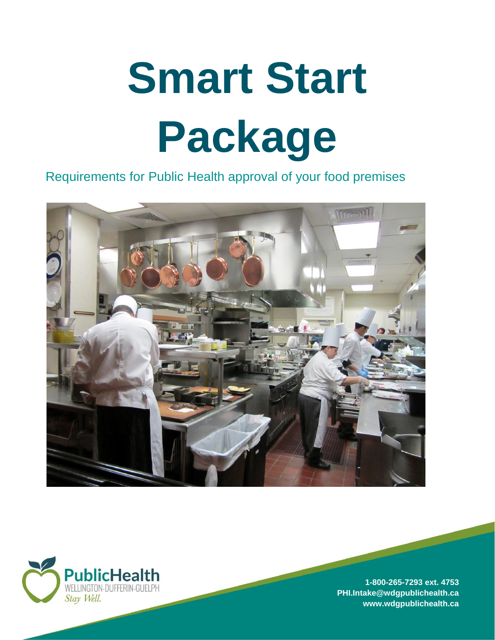# **Smart Start Package**

# Requirements for Public Health approval of your food premises





**1-800-265-7293 ext. 4753 [PHI.Intake@wdgpublichealth.ca](mailto:info@wdgpublichealth.ca) www.wdgpublichealth.ca**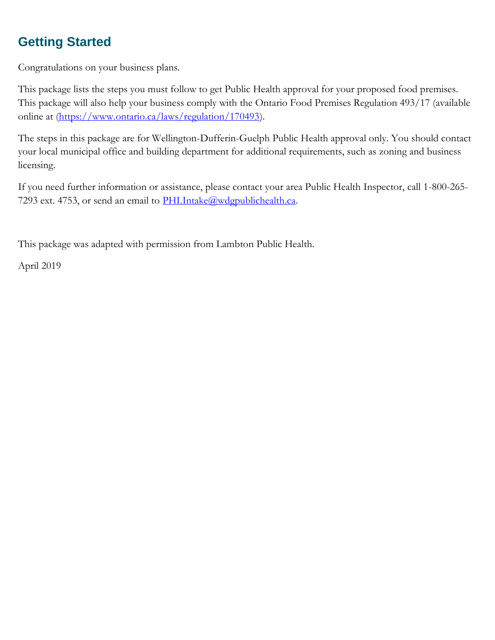# **Getting Started**

Congratulations on your business plans.

This package lists the steps you must follow to get Public Health approval for your proposed food premises. This package will also help your business comply with the Ontario Food Premises Regulation 493/17 (available online at  $(\frac{https://www.ontario.ca/laws/regularion/170493)}{https://www.ontario.ca/laws/regularion/170493)}.$ 

The steps in this package are for Wellington-Dufferin-Guelph Public Health approval only. You should contact your local municipal office and building department for additional requirements, such as zoning and business licensing.

If you need further information or assistance, please contact your area Public Health Inspector, call 1-800-265- 7293 ext. 4753, or send an email to [PHI.Intake@wdgpublichealth.ca.](mailto:PHI.Intake@wdgpublichealth.ca)

This package was adapted with permission from Lambton Public Health.

April 2019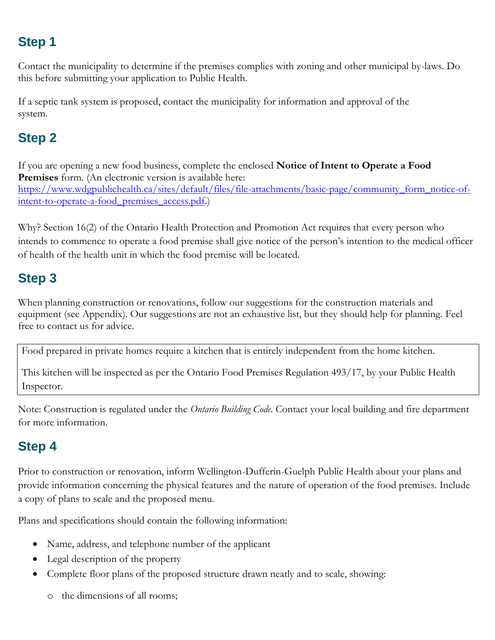# **Step 1**

Contact the municipality to determine if the premises complies with zoning and other municipal by-laws. Do this before submitting your application to Public Health.

If a septic tank system is proposed, contact the municipality for information and approval of the system.

# **Step 2**

If you are opening a new food business, complete the enclosed **Notice of Intent to Operate a Food Premises** form. (An electronic version is available here: [https://www.wdgpublichealth.ca/sites/default/files/file-attachments/basic-page/community\\_form\\_notice-of](https://www.wdgpublichealth.ca/sites/default/files/file-attachments/basic-page/community_form_notice-of-intent-to-operate-a-food_premises_access.pdf)intent-to-operate-a-food premises access.pdf.)

Why? Section 16(2) of the Ontario Health Protection and Promotion Act requires that every person who intends to commence to operate a food premise shall give notice of the person's intention to the medical officer of health of the health unit in which the food premise will be located.

# **Step 3**

When planning construction or renovations, follow our suggestions for the construction materials and equipment (see Appendix). Our suggestions are not an exhaustive list, but they should help for planning. Feel free to contact us for advice.

Food prepared in private homes require a kitchen that is entirely independent from the home kitchen.

This kitchen will be inspected as per the Ontario Food Premises Regulation 493/17, by your Public Health Inspector.

Note: Construction is regulated under the *Ontario Building Code*. Contact your local building and fire department for more information.

# **Step 4**

Prior to construction or renovation, inform Wellington-Dufferin-Guelph Public Health about your plans and provide information concerning the physical features and the nature of operation of the food premises. Include a copy of plans to scale and the proposed menu.

Plans and specifications should contain the following information:

- Name, address, and telephone number of the applicant
- Legal description of the property
- Complete floor plans of the proposed structure drawn neatly and to scale, showing:
	- o the dimensions of all rooms;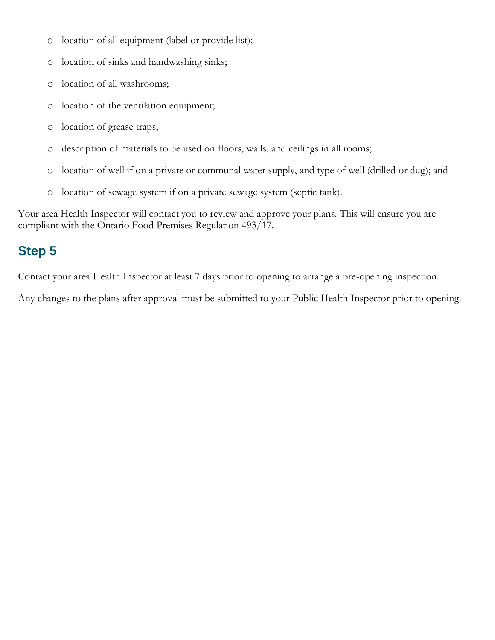- o location of all equipment (label or provide list);
- o location of sinks and handwashing sinks;
- o location of all washrooms;
- o location of the ventilation equipment;
- o location of grease traps;
- o description of materials to be used on floors, walls, and ceilings in all rooms;
- o location of well if on a private or communal water supply, and type of well (drilled or dug); and
- o location of sewage system if on a private sewage system (septic tank).

Your area Health Inspector will contact you to review and approve your plans. This will ensure you are compliant with the Ontario Food Premises Regulation 493/17.

# **Step 5**

Contact your area Health Inspector at least 7 days prior to opening to arrange a pre-opening inspection.

Any changes to the plans after approval must be submitted to your Public Health Inspector prior to opening.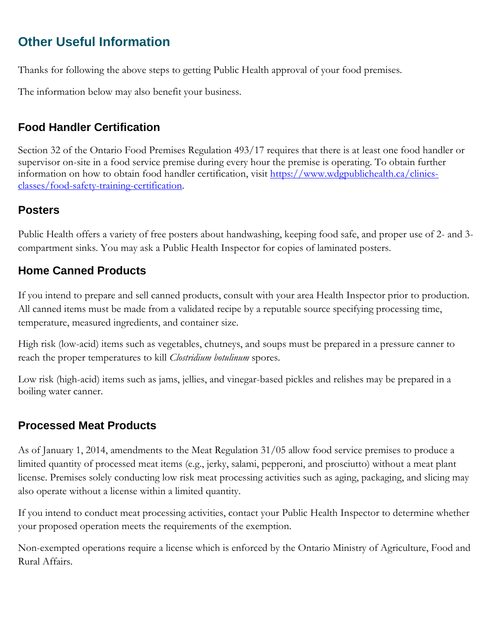# **Other Useful Information**

Thanks for following the above steps to getting Public Health approval of your food premises.

The information below may also benefit your business.

#### **Food Handler Certification**

Section 32 of the Ontario Food Premises Regulation 493/17 requires that there is at least one food handler or supervisor on-site in a food service premise during every hour the premise is operating. To obtain further information on how to obtain food handler certification, visit [https://www.wdgpublichealth.ca/clinics](https://www.wdgpublichealth.ca/clinics-classes/food-safety-training-certification)[classes/food-safety-training-certification.](https://www.wdgpublichealth.ca/clinics-classes/food-safety-training-certification)

#### **Posters**

Public Health offers a variety of free posters about handwashing, keeping food safe, and proper use of 2- and 3 compartment sinks. You may ask a Public Health Inspector for copies of laminated posters.

#### **Home Canned Products**

If you intend to prepare and sell canned products, consult with your area Health Inspector prior to production. All canned items must be made from a validated recipe by a reputable source specifying processing time, temperature, measured ingredients, and container size.

High risk (low-acid) items such as vegetables, chutneys, and soups must be prepared in a pressure canner to reach the proper temperatures to kill *Clostridium botulinum* spores.

Low risk (high-acid) items such as jams, jellies, and vinegar-based pickles and relishes may be prepared in a boiling water canner.

#### **Processed Meat Products**

As of January 1, 2014, amendments to the Meat Regulation 31/05 allow food service premises to produce a limited quantity of processed meat items (e.g., jerky, salami, pepperoni, and prosciutto) without a meat plant license. Premises solely conducting low risk meat processing activities such as aging, packaging, and slicing may also operate without a license within a limited quantity.

If you intend to conduct meat processing activities, contact your Public Health Inspector to determine whether your proposed operation meets the requirements of the exemption.

Non-exempted operations require a license which is enforced by the Ontario Ministry of Agriculture, Food and Rural Affairs.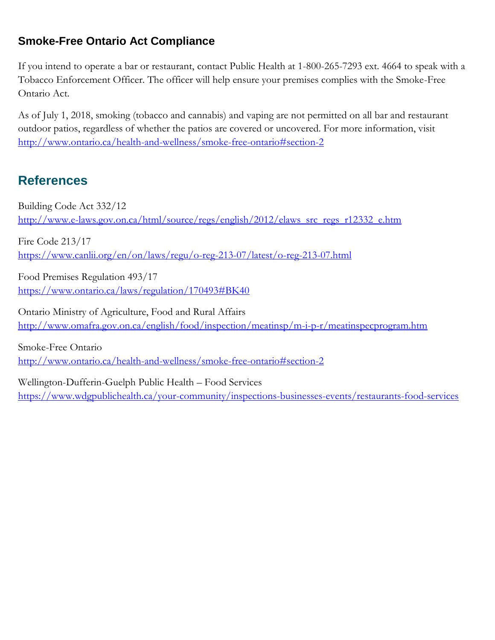### **Smoke-Free Ontario Act Compliance**

If you intend to operate a bar or restaurant, contact Public Health at 1-800-265-7293 ext. 4664 to speak with a Tobacco Enforcement Officer. The officer will help ensure your premises complies with the Smoke-Free Ontario Act.

As of July 1, 2018, smoking (tobacco and cannabis) and vaping are not permitted on all bar and restaurant outdoor patios, regardless of whether the patios are covered or uncovered. For more information, visit <http://www.ontario.ca/health-and-wellness/smoke-free-ontario#section-2>

# **References**

Building Code Act 332/12 [http://www.e-laws.gov.on.ca/html/source/regs/english/2012/elaws\\_src\\_regs\\_r12332\\_e.htm](http://www.e-laws.gov.on.ca/html/source/regs/english/2012/elaws_src_regs_r12332_e.htm)

Fire Code 213/17 <https://www.canlii.org/en/on/laws/regu/o-reg-213-07/latest/o-reg-213-07.html>

Food Premises Regulation 493/17 [https://www.ontario.ca/laws/regulation/170493#BK40](https://www.ontario.ca/laws/regulation/170493%23BK40)

Ontario Ministry of Agriculture, Food and Rural Affairs <http://www.omafra.gov.on.ca/english/food/inspection/meatinsp/m-i-p-r/meatinspecprogram.htm>

Smoke-Free Ontario <http://www.ontario.ca/health-and-wellness/smoke-free-ontario#section-2>

Wellington-Dufferin-Guelph Public Health – Food Services <https://www.wdgpublichealth.ca/your-community/inspections-businesses-events/restaurants-food-services>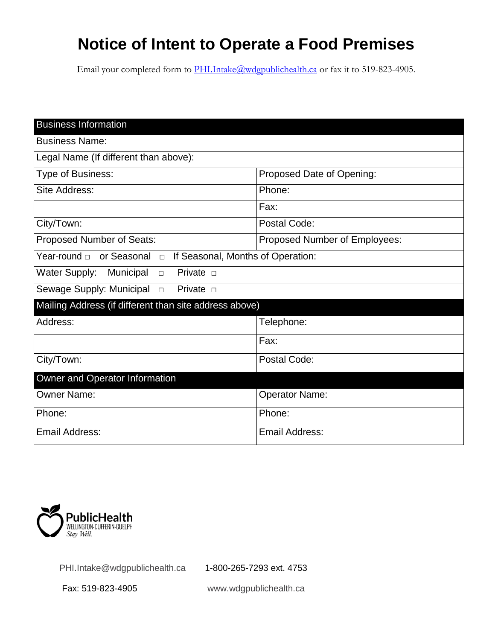# **Notice of Intent to Operate a Food Premises**

Email your completed form to **PHI.Intake@wdgpublichealth.ca** or fax it to 519-823-4905.

| <b>Business Information</b>                                     |                               |
|-----------------------------------------------------------------|-------------------------------|
| <b>Business Name:</b>                                           |                               |
| Legal Name (If different than above):                           |                               |
| Type of Business:                                               | Proposed Date of Opening:     |
| Site Address:                                                   | Phone:                        |
|                                                                 | Fax:                          |
| City/Town:                                                      | Postal Code:                  |
| Proposed Number of Seats:                                       | Proposed Number of Employees: |
| Year-round n or Seasonal n<br>If Seasonal, Months of Operation: |                               |
| Municipal<br>Water Supply:<br>Private $\Box$<br>$\Box$          |                               |
| Sewage Supply: Municipal $\Box$<br>Private □                    |                               |
| Mailing Address (if different than site address above)          |                               |
| Address:                                                        | Telephone:                    |
|                                                                 | Fax:                          |
| City/Town:                                                      | Postal Code:                  |
| Owner and Operator Information                                  |                               |
| <b>Owner Name:</b>                                              | <b>Operator Name:</b>         |
| Phone:                                                          | Phone:                        |
| <b>Email Address:</b>                                           | <b>Email Address:</b>         |



PHI.Intake@wdgpublichealth.ca 1-800-265-7293 ext. 4753

Fax: 519-823-4905 www.wdgpublichealth.ca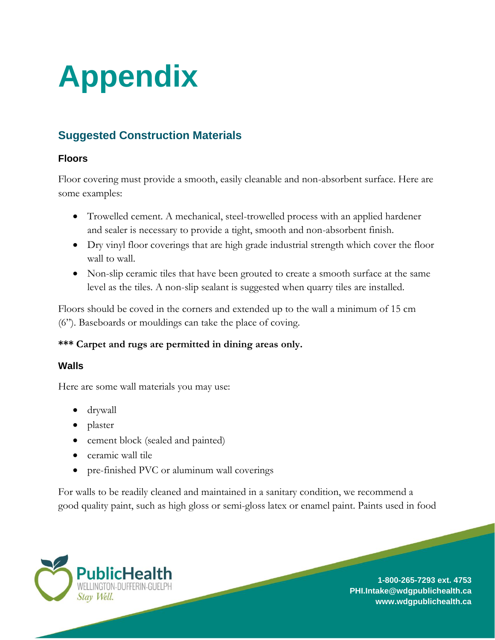# **Appendix**

## **Suggested Construction Materials**

#### **Floors**

Floor covering must provide a smooth, easily cleanable and non-absorbent surface. Here are some examples:

- Trowelled cement. A mechanical, steel-trowelled process with an applied hardener and sealer is necessary to provide a tight, smooth and non-absorbent finish.
- Dry vinyl floor coverings that are high grade industrial strength which cover the floor wall to wall.
- Non-slip ceramic tiles that have been grouted to create a smooth surface at the same level as the tiles. A non-slip sealant is suggested when quarry tiles are installed.

Floors should be coved in the corners and extended up to the wall a minimum of 15 cm (6"). Baseboards or mouldings can take the place of coving.

#### **\*\*\* Carpet and rugs are permitted in dining areas only.**

#### **Walls**

Here are some wall materials you may use:

- drywall
- plaster
- cement block (sealed and painted)
- ceramic wall tile
- pre-finished PVC or aluminum wall coverings

For walls to be readily cleaned and maintained in a sanitary condition, we recommend a good quality paint, such as high gloss or semi-gloss latex or enamel paint. Paints used in food



**1-800-265-7293 ext. 4753 [PHI.Intake@wdgpublichealth.ca](mailto:info@wdgpublichealth.ca) www.wdgpublichealth.ca**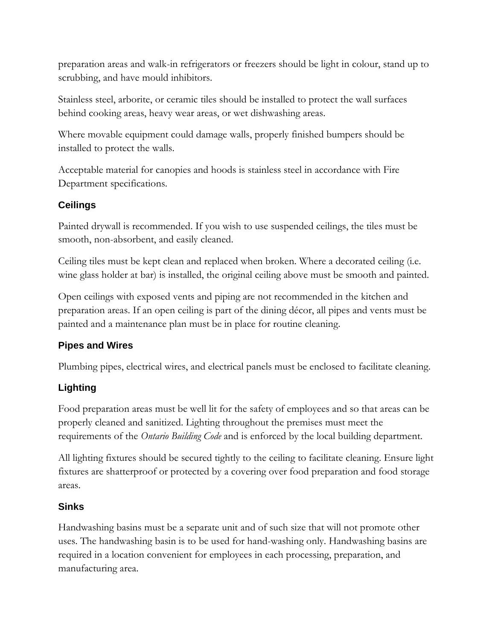preparation areas and walk-in refrigerators or freezers should be light in colour, stand up to scrubbing, and have mould inhibitors.

Stainless steel, arborite, or ceramic tiles should be installed to protect the wall surfaces behind cooking areas, heavy wear areas, or wet dishwashing areas.

Where movable equipment could damage walls, properly finished bumpers should be installed to protect the walls.

Acceptable material for canopies and hoods is stainless steel in accordance with Fire Department specifications.

#### **Ceilings**

Painted drywall is recommended. If you wish to use suspended ceilings, the tiles must be smooth, non-absorbent, and easily cleaned.

Ceiling tiles must be kept clean and replaced when broken. Where a decorated ceiling (i.e. wine glass holder at bar) is installed, the original ceiling above must be smooth and painted.

Open ceilings with exposed vents and piping are not recommended in the kitchen and preparation areas. If an open ceiling is part of the dining décor, all pipes and vents must be painted and a maintenance plan must be in place for routine cleaning.

#### **Pipes and Wires**

Plumbing pipes, electrical wires, and electrical panels must be enclosed to facilitate cleaning.

#### **Lighting**

Food preparation areas must be well lit for the safety of employees and so that areas can be properly cleaned and sanitized. Lighting throughout the premises must meet the requirements of the *Ontario Building Code* and is enforced by the local building department.

All lighting fixtures should be secured tightly to the ceiling to facilitate cleaning. Ensure light fixtures are shatterproof or protected by a covering over food preparation and food storage areas.

#### **Sinks**

Handwashing basins must be a separate unit and of such size that will not promote other uses. The handwashing basin is to be used for hand-washing only. Handwashing basins are required in a location convenient for employees in each processing, preparation, and manufacturing area.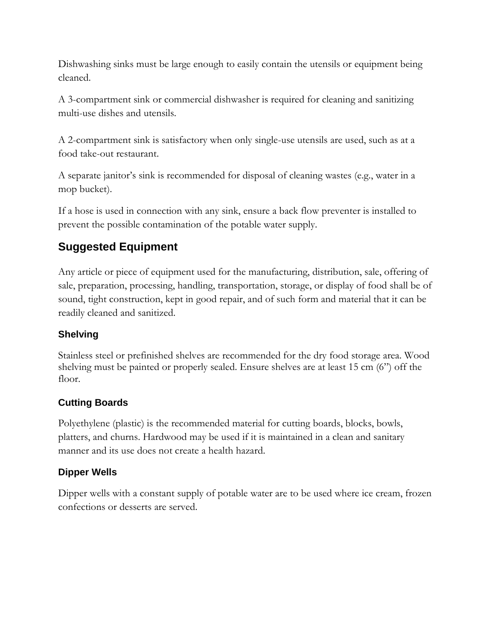Dishwashing sinks must be large enough to easily contain the utensils or equipment being cleaned.

A 3-compartment sink or commercial dishwasher is required for cleaning and sanitizing multi-use dishes and utensils.

A 2-compartment sink is satisfactory when only single-use utensils are used, such as at a food take-out restaurant.

A separate janitor's sink is recommended for disposal of cleaning wastes (e.g., water in a mop bucket).

If a hose is used in connection with any sink, ensure a back flow preventer is installed to prevent the possible contamination of the potable water supply.

# **Suggested Equipment**

Any article or piece of equipment used for the manufacturing, distribution, sale, offering of sale, preparation, processing, handling, transportation, storage, or display of food shall be of sound, tight construction, kept in good repair, and of such form and material that it can be readily cleaned and sanitized.

#### **Shelving**

Stainless steel or prefinished shelves are recommended for the dry food storage area. Wood shelving must be painted or properly sealed. Ensure shelves are at least 15 cm (6") off the floor.

#### **Cutting Boards**

Polyethylene (plastic) is the recommended material for cutting boards, blocks, bowls, platters, and churns. Hardwood may be used if it is maintained in a clean and sanitary manner and its use does not create a health hazard.

#### **Dipper Wells**

Dipper wells with a constant supply of potable water are to be used where ice cream, frozen confections or desserts are served.